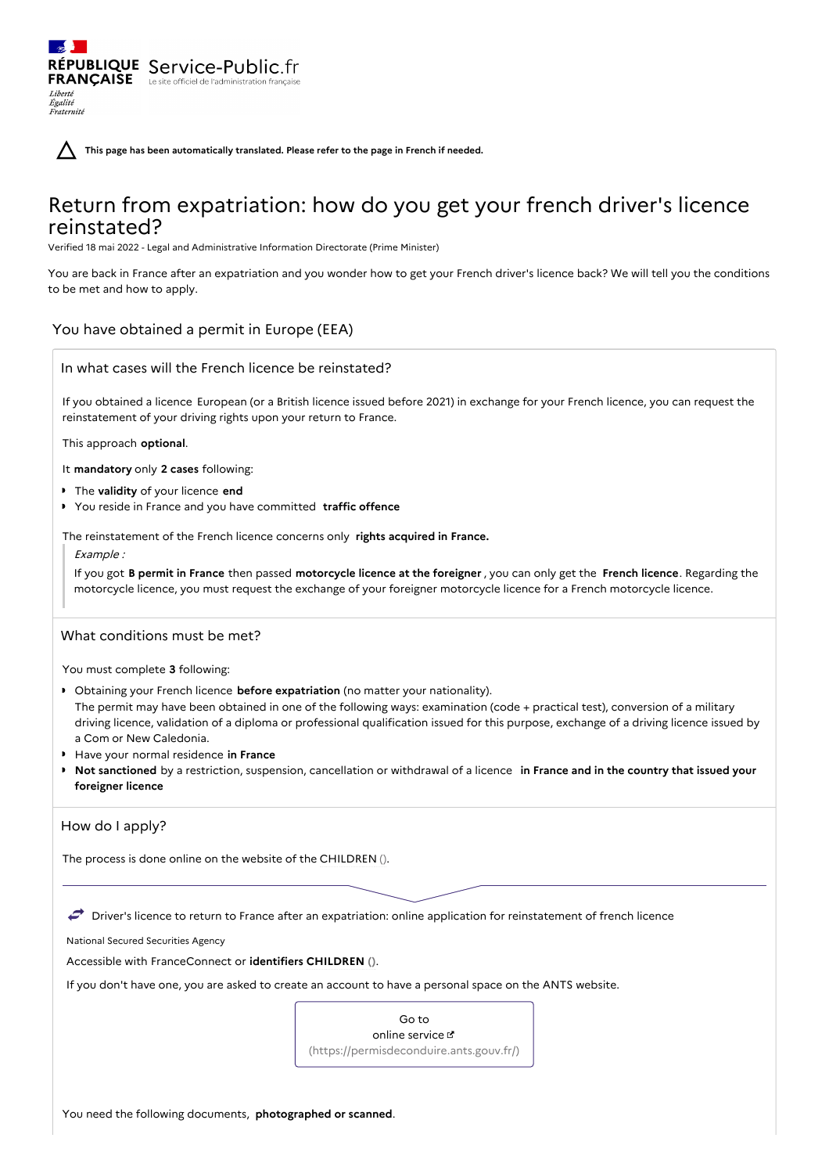**This page has been automatically translated. Please refer to the page in French if needed.**

# Return from expatriation: how do you get your french driver's licence reinstated?

Verified 18 mai 2022 - Legal and Administrative Information Directorate (Prime Minister)

You are back in France after an expatriation and you wonder how to get your French driver's licence back? We will tell you the conditions to be met and how to apply.

## You have obtained a permit in Europe (EEA)

RÉPUBLIQUE Service-Public.fr **FRANÇAISE** Le site officiel de l'administration

Liberté Égalité<br>Fraternité

If you obtained a licence European (or a British licence issued before 2021) in exchange for your French licence, you can request the reinstatement of your driving rights upon your return to France.

This approach **optional**.

It **mandatory** only **2 cases** following:

- The **validity** of your licence **end**
- You reside in France and you have committed **traffic offence**

The reinstatement of the French licence concerns only **rights acquired in France.**

Example :

If you got **B permit in France** then passed **motorcycle licence at the foreigner** , you can only get the **French licence**. Regarding the motorcycle licence, you must request the exchange of your foreigner motorcycle licence for a French motorcycle licence.

## What conditions must be met?

You must complete **3** following:

- Obtaining your French licence **before expatriation** (no matter your nationality). The permit may have been obtained in one of the following ways: examination (code + practical test), conversion of a military driving licence, validation of a diploma or professional qualification issued for this purpose, exchange of a driving licence issued by a Com or New Caledonia.
- Have your normal residence **in France**
- **Not sanctioned** by a restriction, suspension, cancellation or withdrawal of a licence **in France and in the country that issued your foreigner licence**

## How do I apply?

The process is done online on the website of the CHILDREN ().

 $\rightarrow$  Driver's licence to return to France after an expatriation: online application for reinstatement of french licence

National Secured Securities Agency

Accessible with FranceConnect or **identifiers CHILDREN ()**.

If you don't have one, you are asked to create an account to have a personal space on the ANTS website.

Go to online service & [\(https://permisdeconduire.ants.gouv.fr/\)](https://permisdeconduire.ants.gouv.fr/)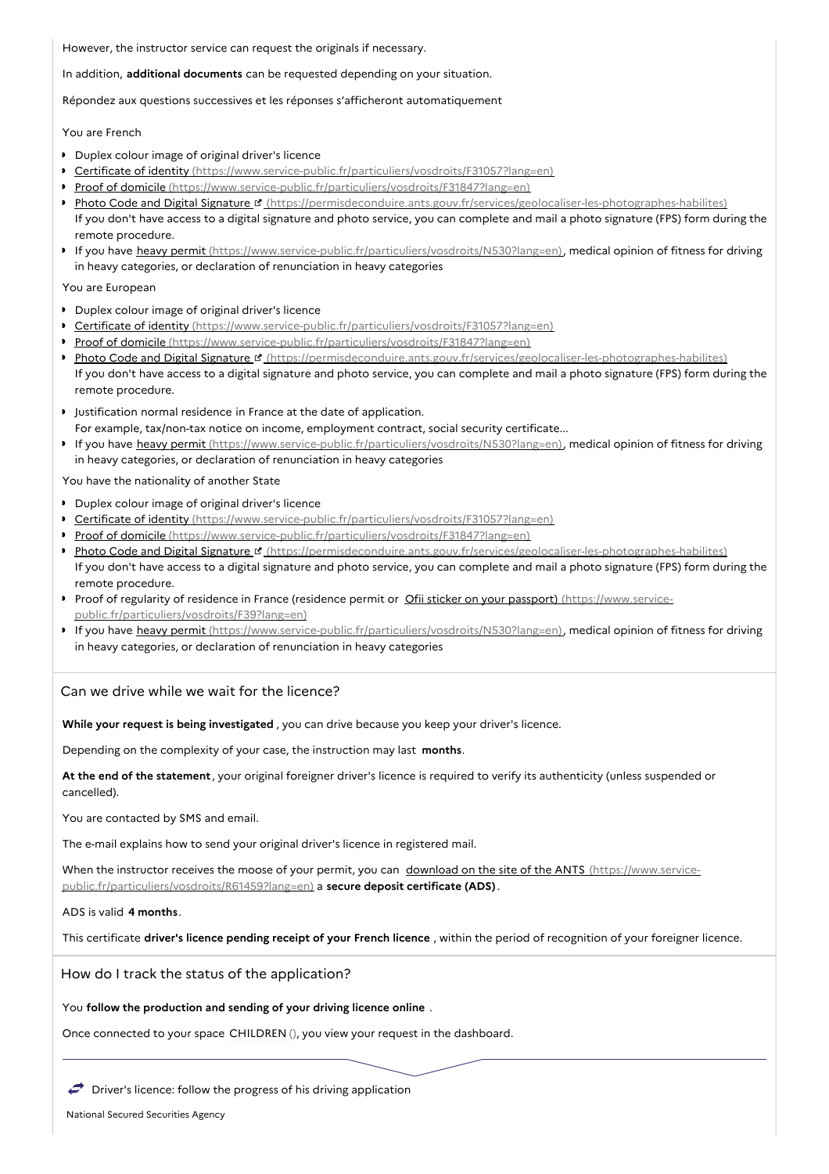However, the instructor service can request the originals if necessary.

In addition, **additional documents** can be requested depending on your situation.

Répondez aux questions successives et les réponses s'afficheront automatiquement

You are French

- Duplex colour image of original driver's licence
- Certificate of identity [\(https://www.service-public.fr/particuliers/vosdroits/F31057?lang=en\)](https://www.service-public.fr/particuliers/vosdroits/F31057?lang=en)
- Proof of domicile [\(https://www.service-public.fr/particuliers/vosdroits/F31847?lang=en\)](https://www.service-public.fr/particuliers/vosdroits/F31847?lang=en)
- Photo Code and Digital Signature <sup>of</sup> [\(https://permisdeconduire.ants.gouv.fr/services/geolocaliser-les-photographes-habilites\)](https://permisdeconduire.ants.gouv.fr/services/geolocaliser-les-photographes-habilites) If you don't have access to a digital signature and photo service, you can complete and mail a photo signature (FPS) form during the remote procedure.
- If you have heavy permit [\(https://www.service-public.fr/particuliers/vosdroits/N530?lang=en\)](https://www.service-public.fr/particuliers/vosdroits/N530?lang=en), medical opinion of fitness for driving in heavy categories, or declaration of renunciation in heavy categories

You are European

- **Duplex colour image of original driver's licence**
- Certificate of identity [\(https://www.service-public.fr/particuliers/vosdroits/F31057?lang=en\)](https://www.service-public.fr/particuliers/vosdroits/F31057?lang=en)
- Proof of domicile [\(https://www.service-public.fr/particuliers/vosdroits/F31847?lang=en\)](https://www.service-public.fr/particuliers/vosdroits/F31847?lang=en)
- Photo Code and Digital Signature <sup>et</sup> [\(https://permisdeconduire.ants.gouv.fr/services/geolocaliser-les-photographes-habilites\)](https://permisdeconduire.ants.gouv.fr/services/geolocaliser-les-photographes-habilites) If you don't have access to a digital signature and photo service, you can complete and mail a photo signature (FPS) form during the remote procedure.
- **I** Justification normal residence in France at the date of application. For example, tax/non-tax notice on income, employment contract, social security certificate...
- If you have heavy permit [\(https://www.service-public.fr/particuliers/vosdroits/N530?lang=en\)](https://www.service-public.fr/particuliers/vosdroits/N530?lang=en), medical opinion of fitness for driving in heavy categories, or declaration of renunciation in heavy categories

You have the nationality of another State

- Duplex colour image of original driver's licence
- Certificate of identity [\(https://www.service-public.fr/particuliers/vosdroits/F31057?lang=en\)](https://www.service-public.fr/particuliers/vosdroits/F31057?lang=en)
- Proof of domicile [\(https://www.service-public.fr/particuliers/vosdroits/F31847?lang=en\)](https://www.service-public.fr/particuliers/vosdroits/F31847?lang=en)
- Photo Code and Digital Signature <sup>p</sup> [\(https://permisdeconduire.ants.gouv.fr/services/geolocaliser-les-photographes-habilites\)](https://permisdeconduire.ants.gouv.fr/services/geolocaliser-les-photographes-habilites) If you don't have access to a digital signature and photo service, you can complete and mail a photo signature (FPS) form during the remote procedure.
- Proof of regularity of residence in France (residence permit or Ofii sticker on your passport) (https://www.service[public.fr/particuliers/vosdroits/F39?lang=en\)](https://www.service-public.fr/particuliers/vosdroits/F39?lang=en)
- If you have heavy permit [\(https://www.service-public.fr/particuliers/vosdroits/N530?lang=en\)](https://www.service-public.fr/particuliers/vosdroits/N530?lang=en), medical opinion of fitness for driving in heavy categories, or declaration of renunciation in heavy categories

Can we drive while we wait for the licence?

**While your request is being investigated** , you can drive because you keep your driver's licence.

Depending on the complexity of your case, the instruction may last **months**.

**At the end of the statement** , your original foreigner driver's licence is required to verify its authenticity (unless suspended or cancelled).

You are contacted by SMS and email.

The e-mail explains how to send your original driver's licence in registered mail.

When the instructor receives the moose of your permit, you can download on the site of the ANTS (https://www.service[public.fr/particuliers/vosdroits/R61459?lang=en\)](https://www.service-public.fr/particuliers/vosdroits/R61459?lang=en) a **secure deposit certificate (ADS)**.

ADS is valid **4 months**.

This certificate **driver's licence pending receipt of your French licence** , within the period of recognition of your foreigner licence.

How do I track the status of the application?

You **follow the production and sending of your driving licence online** .

Once connected to your space CHILDREN (), you view your request in the dashboard.

 $\rightarrow$  Driver's licence: follow the progress of his driving application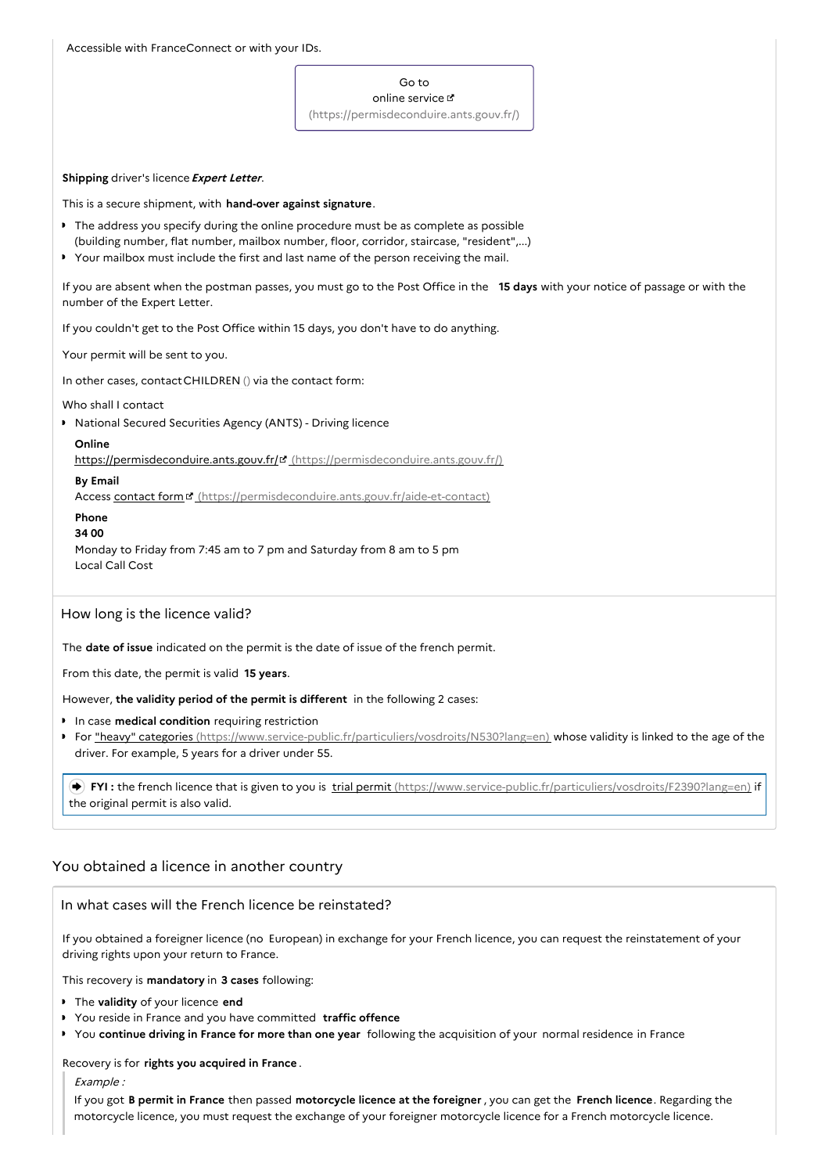Accessible with FranceConnect or with your IDs.

## Go to

online service [\(https://permisdeconduire.ants.gouv.fr/\)](https://permisdeconduire.ants.gouv.fr/)

## **Shipping** driver's licence**Expert Letter**.

This is a secure shipment, with **hand-over against signature**.

- The address you specify during the online procedure must be as complete as possible
- (building number, flat number, mailbox number, floor, corridor, staircase, "resident",...)  $\ddot{\phantom{a}}$
- Your mailbox must include the first and last name of the person receiving the mail.

If you are absent when the postman passes, you must go to the Post Office in the **15 days** with your notice of passage or with the number of the Expert Letter.

If you couldn't get to the Post Office within 15 days, you don't have to do anything.

Your permit will be sent to you.

In other cases, contactCHILDREN () via the contact form:

## Who shall I contact

National Secured Securities Agency (ANTS) - Driving licence

## **Online**

https://permisdeconduire.ants.gouv.fr/& [\(https://permisdeconduire.ants.gouv.fr/\)](https://permisdeconduire.ants.gouv.fr/)

## **By Email**

Access contact form  $\mathbf{F}$  [\(https://permisdeconduire.ants.gouv.fr/aide-et-contact\)](https://permisdeconduire.ants.gouv.fr/aide-et-contact)

## **Phone**

**34 00**

Monday to Friday from 7:45 am to 7 pm and Saturday from 8 am to 5 pm Local Call Cost

## How long is the licence valid?

The **date of issue** indicated on the permit is the date of issue of the french permit.

From this date, the permit is valid **15 years**.

However, **the validity period of the permit is different** in the following 2 cases:

- In case **medical condition** requiring restriction
- For "heavy" categories [\(https://www.service-public.fr/particuliers/vosdroits/N530?lang=en\)](https://www.service-public.fr/particuliers/vosdroits/N530?lang=en) whose validity is linked to the age of the driver. For example, 5 years for a driver under 55.

 **FYI :** the french licence that is given to you is trial permit [\(https://www.service-public.fr/particuliers/vosdroits/F2390?lang=en\)](https://www.service-public.fr/particuliers/vosdroits/F2390?lang=en) if the original permit is also valid.

## You obtained a licence in another country

## In what cases will the French licence be reinstated?

If you obtained a foreigner licence (no European) in exchange for your French licence, you can request the reinstatement of your driving rights upon your return to France.

This recovery is **mandatory** in **3 cases** following:

- The **validity** of your licence **end**
- You reside in France and you have committed **traffic offence**
- You **continue driving in France for more than one year** following the acquisition of your normal residence in France

## Recovery is for **rights you acquired in France** .

Example :

If you got **B permit in France** then passed **motorcycle licence at the foreigner** , you can get the **French licence**. Regarding the motorcycle licence, you must request the exchange of your foreigner motorcycle licence for a French motorcycle licence.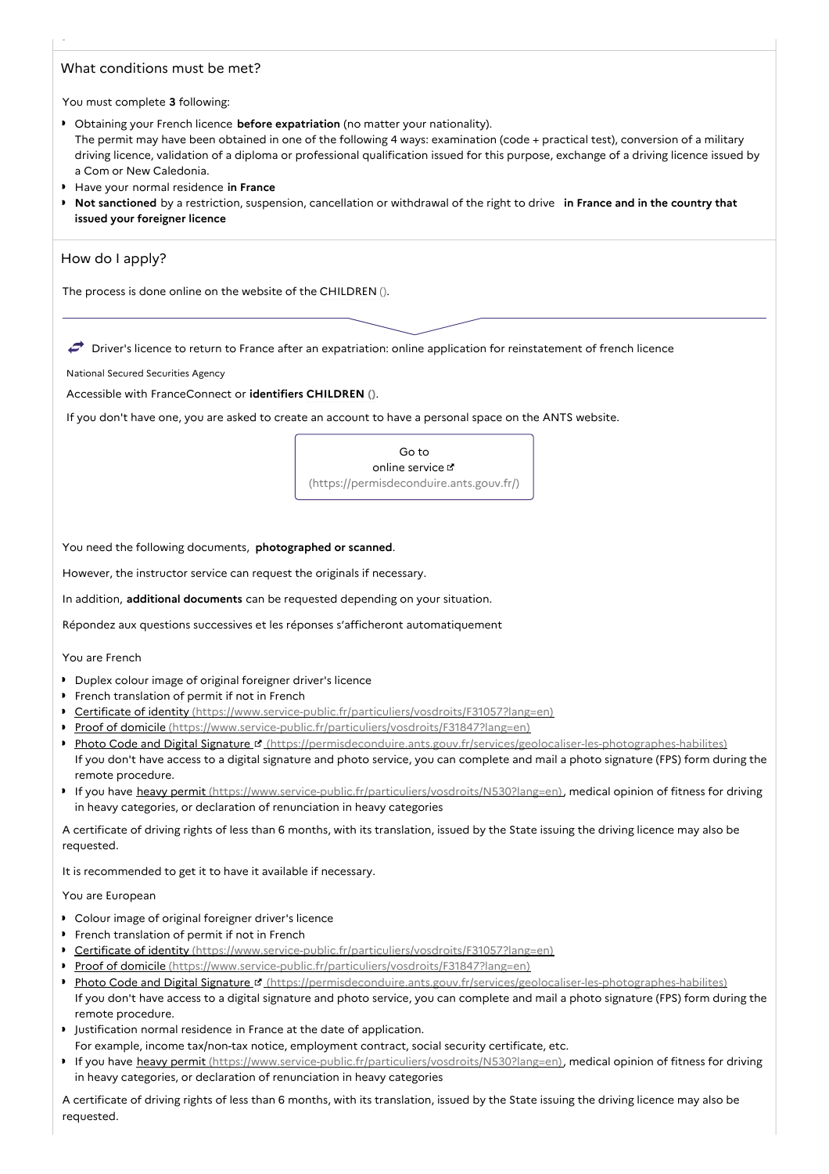## What conditions must be met?

You must complete **3** following:

- Obtaining your French licence **before expatriation** (no matter your nationality). The permit may have been obtained in one of the following 4 ways: examination (code + practical test), conversion of a military driving licence, validation of a diploma or professional qualification issued for this purpose, exchange of a driving licence issued by a Com or New Caledonia.
- Have your normal residence **in France**
- **Not sanctioned** by a restriction, suspension, cancellation or withdrawal of the right to drive **in France and in the country that issued your foreigner licence**

## How do I apply?

The process is done online on the website of the CHILDREN ().

 $\rightarrow$  Driver's licence to return to France after an expatriation: online application for reinstatement of french licence

#### National Secured Securities Agency

Accessible with FranceConnect or **identifiers CHILDREN ()**.

If you don't have one, you are asked to create an account to have a personal space on the ANTS website.

Go to online service [\(https://permisdeconduire.ants.gouv.fr/\)](https://permisdeconduire.ants.gouv.fr/)

You need the following documents, **photographed or scanned**.

However, the instructor service can request the originals if necessary.

In addition, **additional documents** can be requested depending on your situation.

Répondez aux questions successives et les réponses s'afficheront automatiquement

You are French

- Duplex colour image of original foreigner driver's licence
- **French translation of permit if not in French**
- $\bullet$ Certificate of identity [\(https://www.service-public.fr/particuliers/vosdroits/F31057?lang=en\)](https://www.service-public.fr/particuliers/vosdroits/F31057?lang=en)
- Proof of domicile [\(https://www.service-public.fr/particuliers/vosdroits/F31847?lang=en\)](https://www.service-public.fr/particuliers/vosdroits/F31847?lang=en)  $\ddot{\phantom{0}}$
- $\bullet$ Photo Code and Digital Signature **B** [\(https://permisdeconduire.ants.gouv.fr/services/geolocaliser-les-photographes-habilites\)](https://permisdeconduire.ants.gouv.fr/services/geolocaliser-les-photographes-habilites) If you don't have access to a digital signature and photo service, you can complete and mail a photo signature (FPS) form during the remote procedure.
- If you have heavy permit [\(https://www.service-public.fr/particuliers/vosdroits/N530?lang=en\)](https://www.service-public.fr/particuliers/vosdroits/N530?lang=en), medical opinion of fitness for driving in heavy categories, or declaration of renunciation in heavy categories

A certificate of driving rights of less than 6 months, with its translation, issued by the State issuing the driving licence may also be requested.

It is recommended to get it to have it available if necessary.

You are European

- Colour image of original foreigner driver's licence
- **French translation of permit if not in French**
- Certificate of identity [\(https://www.service-public.fr/particuliers/vosdroits/F31057?lang=en\)](https://www.service-public.fr/particuliers/vosdroits/F31057?lang=en)
- **Proof of domicile** [\(https://www.service-public.fr/particuliers/vosdroits/F31847?lang=en\)](https://www.service-public.fr/particuliers/vosdroits/F31847?lang=en)
- Photo Code and Digital Signature <sup>of</sup> [\(https://permisdeconduire.ants.gouv.fr/services/geolocaliser-les-photographes-habilites\)](https://permisdeconduire.ants.gouv.fr/services/geolocaliser-les-photographes-habilites) If you don't have access to a digital signature and photo service, you can complete and mail a photo signature (FPS) form during the remote procedure.
- **I** Justification normal residence in France at the date of application. For example, income tax/non-tax notice, employment contract, social security certificate, etc.
- If you have heavy permit [\(https://www.service-public.fr/particuliers/vosdroits/N530?lang=en\)](https://www.service-public.fr/particuliers/vosdroits/N530?lang=en), medical opinion of fitness for driving in heavy categories, or declaration of renunciation in heavy categories

A certificate of driving rights of less than 6 months, with its translation, issued by the State issuing the driving licence may also be requested.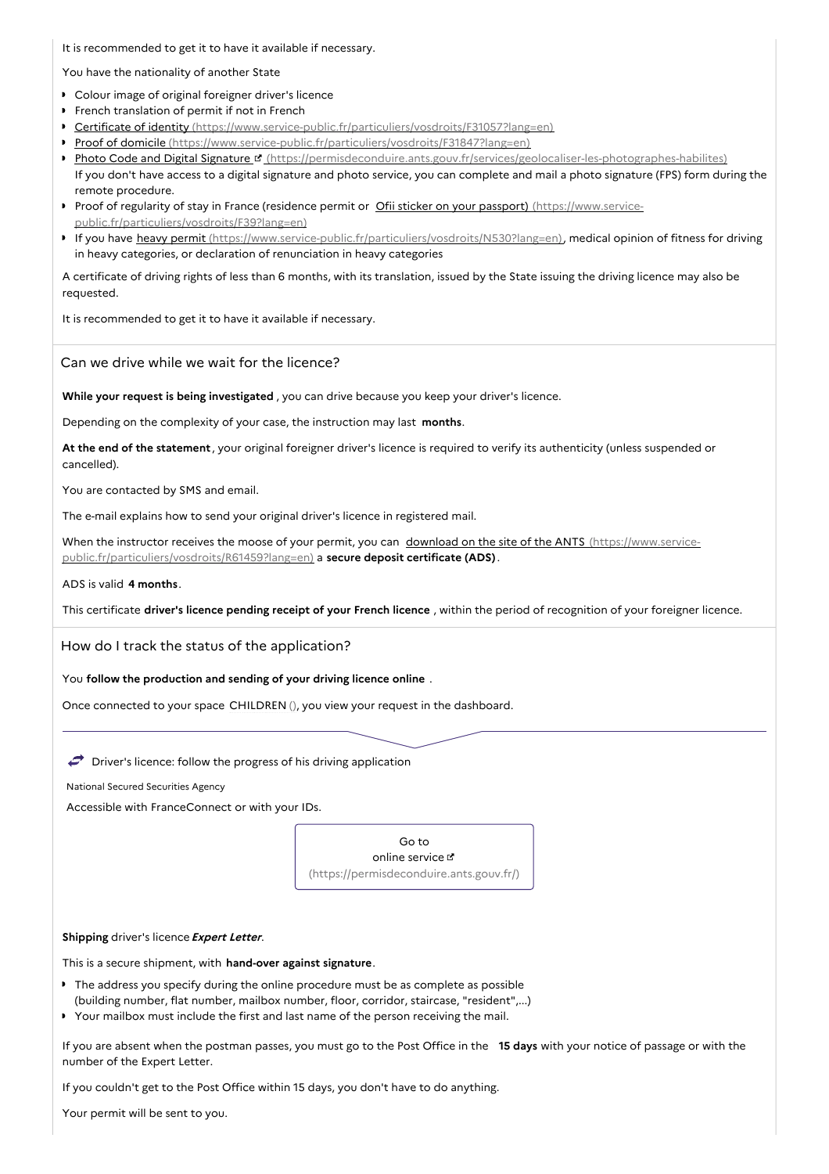It is recommended to get it to have it available if necessary.

You have the nationality of another State

- Colour image of original foreigner driver's licence
- **French translation of permit if not in French**
- Certificate of identity [\(https://www.service-public.fr/particuliers/vosdroits/F31057?lang=en\)](https://www.service-public.fr/particuliers/vosdroits/F31057?lang=en)
- Proof of domicile [\(https://www.service-public.fr/particuliers/vosdroits/F31847?lang=en\)](https://www.service-public.fr/particuliers/vosdroits/F31847?lang=en)
- Photo Code and Digital Signature <sup>et</sup> [\(https://permisdeconduire.ants.gouv.fr/services/geolocaliser-les-photographes-habilites\)](https://permisdeconduire.ants.gouv.fr/services/geolocaliser-les-photographes-habilites) If you don't have access to a digital signature and photo service, you can complete and mail a photo signature (FPS) form during the remote procedure.
- Proof of regularity of stay in France (residence permit or Ofii sticker on your passport) (https://www.service[public.fr/particuliers/vosdroits/F39?lang=en\)](https://www.service-public.fr/particuliers/vosdroits/F39?lang=en)
- If you have heavy permit [\(https://www.service-public.fr/particuliers/vosdroits/N530?lang=en\)](https://www.service-public.fr/particuliers/vosdroits/N530?lang=en), medical opinion of fitness for driving in heavy categories, or declaration of renunciation in heavy categories

A certificate of driving rights of less than 6 months, with its translation, issued by the State issuing the driving licence may also be requested.

It is recommended to get it to have it available if necessary.

Can we drive while we wait for the licence?

**While your request is being investigated** , you can drive because you keep your driver's licence.

Depending on the complexity of your case, the instruction may last **months**.

**At the end of the statement** , your original foreigner driver's licence is required to verify its authenticity (unless suspended or cancelled).

You are contacted by SMS and email.

The e-mail explains how to send your original driver's licence in registered mail.

When the instructor receives the moose of your permit, you can download on the site of the ANTS (https://www.service[public.fr/particuliers/vosdroits/R61459?lang=en\)](https://www.service-public.fr/particuliers/vosdroits/R61459?lang=en) a **secure deposit certificate (ADS)**.

#### ADS is valid **4 months**.

This certificate **driver's licence pending receipt of your French licence** , within the period of recognition of your foreigner licence.

How do I track the status of the application?

You **follow the production and sending of your driving licence online** .

Once connected to your space CHILDREN (), you view your request in the dashboard.

 $\bullet$  Driver's licence: follow the progress of his driving application

National Secured Securities Agency

Accessible with FranceConnect or with your IDs.



## **Shipping** driver's licence**Expert Letter**.

This is a secure shipment, with **hand-over against signature**.

- The address you specify during the online procedure must be as complete as possible (building number, flat number, mailbox number, floor, corridor, staircase, "resident",...)
- $\bullet$ Your mailbox must include the first and last name of the person receiving the mail.

If you are absent when the postman passes, you must go to the Post Office in the **15 days** with your notice of passage or with the number of the Expert Letter.

If you couldn't get to the Post Office within 15 days, you don't have to do anything.

Your permit will be sent to you.